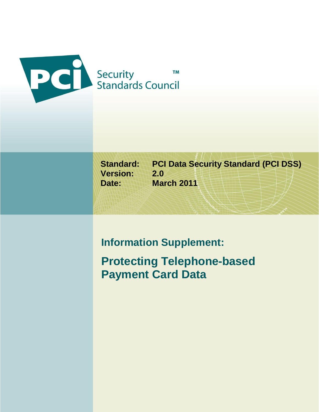

**Version: 2.0**

**Standard: PCI Data Security Standard (PCI DSS) Date: March 2011**

# **Information Supplement:**

**Protecting Telephone-based Payment Card Data**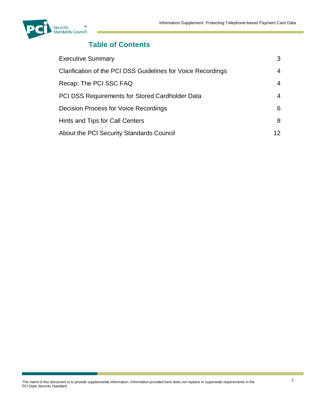

# **Table of Contents**

| <b>Executive Summary</b>                                     | 3   |
|--------------------------------------------------------------|-----|
| Clarification of the PCI DSS Guidelines for Voice Recordings | 4   |
| Recap: The PCI SSC FAQ                                       | 4   |
| <b>PCI DSS Requirements for Stored Cardholder Data</b>       | 4   |
| Decision Process for Voice Recordings                        | 6.  |
| Hints and Tips for Call Centers                              | 8   |
| About the PCI Security Standards Council                     | 12. |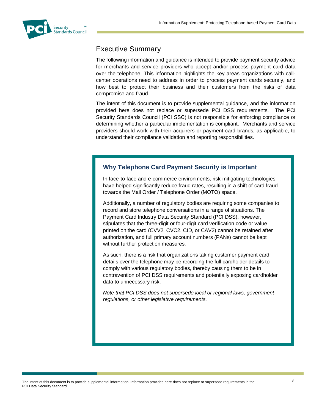<span id="page-2-0"></span>

### Executive Summary

The following information and guidance is intended to provide payment security advice for merchants and service providers who accept and/or process payment card data over the telephone. This information highlights the key areas organizations with callcenter operations need to address in order to process payment cards securely, and how best to protect their business and their customers from the risks of data compromise and fraud.

The intent of this document is to provide supplemental guidance, and the information provided here does not replace or supersede PCI DSS requirements. The PCI Security Standards Council (PCI SSC) is not responsible for enforcing compliance or determining whether a particular implementation is compliant. Merchants and service providers should work with their acquirers or payment card brands, as applicable, to understand their compliance validation and reporting responsibilities.

### **Why Telephone Card Payment Security is Important**

In face-to-face and e-commerce environments, risk-mitigating technologies have helped significantly reduce fraud rates, resulting in a shift of card fraud towards the Mail Order / Telephone Order (MOTO) space.

Additionally, a number of regulatory bodies are requiring some companies to record and store telephone conversations in a range of situations. The Payment Card Industry Data Security Standard (PCI DSS), however, stipulates that the three-digit or four-digit card verification code or value printed on the card (CVV2, CVC2, CID, or CAV2) cannot be retained after authorization, and full primary account numbers (PANs) cannot be kept without further protection measures.

As such, there is a risk that organizations taking customer payment card details over the telephone may be recording the full cardholder details to comply with various regulatory bodies, thereby causing them to be in contravention of PCI DSS requirements and potentially exposing cardholder data to unnecessary risk.

*Note that PCI DSS does not supersede local or regional laws, government regulations, or other legislative requirements.*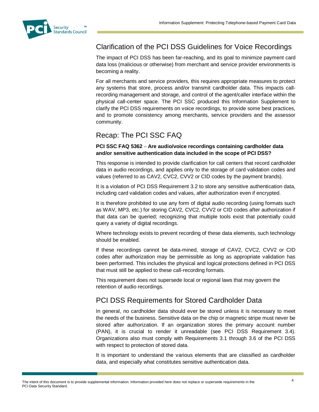<span id="page-3-0"></span>

### Clarification of the PCI DSS Guidelines for Voice Recordings

The impact of PCI DSS has been far-reaching, and its goal to minimize payment card data loss (malicious or otherwise) from merchant and service provider environments is becoming a reality.

For all merchants and service providers, this requires appropriate measures to protect any systems that store, process and/or transmit cardholder data. This impacts callrecording management and storage, and control of the agent/caller interface within the physical call-center space. The PCI SSC produced this Information Supplement to clarify the PCI DSS requirements on voice recordings, to provide some best practices, and to promote consistency among merchants, service providers and the assessor community.

### <span id="page-3-1"></span>Recap: The PCI SSC FAQ

#### **PCI SSC FAQ 5362 – Are audio/voice recordings containing cardholder data and/or sensitive authentication data included in the scope of PCI DSS?**

This response is intended to provide clarification for call centers that record cardholder data in audio recordings, and applies only to the storage of card validation codes and values (referred to as CAV2, CVC2, CVV2 or CID codes by the payment brands).

It is a violation of PCI DSS Requirement 3.2 to store any sensitive authentication data, including card validation codes and values, after authorization even if encrypted.

It is therefore prohibited to use any form of digital audio recording (using formats such as WAV, MP3, etc.) for storing CAV2, CVC2, CVV2 or CID codes after authorization if that data can be queried; recognizing that multiple tools exist that potentially could query a variety of digital recordings.

Where technology exists to prevent recording of these data elements, such technology should be enabled.

If these recordings cannot be data-mined, storage of CAV2, CVC2, CVV2 or CID codes after authorization may be permissible as long as appropriate validation has been performed. This includes the physical and logical protections defined in PCI DSS that must still be applied to these call-recording formats.

This requirement does not supersede local or regional laws that may govern the retention of audio recordings.

### <span id="page-3-2"></span>PCI DSS Requirements for Stored Cardholder Data

In general, no cardholder data should ever be stored unless it is necessary to meet the needs of the business. Sensitive data on the chip or magnetic stripe must never be stored after authorization. If an organization stores the primary account number (PAN), it is crucial to render it unreadable (see PCI DSS Requirement 3.4). Organizations also must comply with Requirements 3.1 through 3.6 of the PCI DSS with respect to protection of stored data.

It is important to understand the various elements that are classified as cardholder data, and especially what constitutes sensitive authentication data.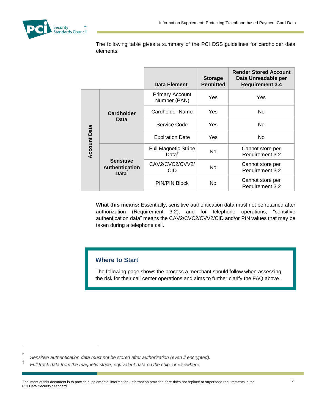

The following table gives a summary of the PCI DSS guidelines for cardholder data elements:

|                     |                                                          | Data Element                                     | <b>Storage</b><br><b>Permitted</b> | <b>Render Stored Account</b><br>Data Unreadable per<br><b>Requirement 3.4</b> |
|---------------------|----------------------------------------------------------|--------------------------------------------------|------------------------------------|-------------------------------------------------------------------------------|
| <b>Account Data</b> | Cardholder<br>Data                                       | <b>Primary Account</b><br>Number (PAN)           | Yes                                | Yes                                                                           |
|                     |                                                          | Cardholder Name                                  | Yes                                | N <sub>o</sub>                                                                |
|                     |                                                          | Service Code                                     | Yes                                | N <sub>o</sub>                                                                |
|                     |                                                          | <b>Expiration Date</b>                           | Yes                                | N <sub>o</sub>                                                                |
|                     | <b>Sensitive</b><br><b>Authentication</b><br><b>Data</b> | <b>Full Magnetic Stripe</b><br>Data <sup>†</sup> | N <sub>o</sub>                     | Cannot store per<br>Requirement 3.2                                           |
|                     |                                                          | CAV2/CVC2/CVV2/<br>CID                           | N <sub>o</sub>                     | Cannot store per<br>Requirement 3.2                                           |
|                     |                                                          | <b>PIN/PIN Block</b>                             | No                                 | Cannot store per<br>Requirement 3.2                                           |

**What this means:** Essentially, sensitive authentication data must not be retained after authorization (Requirement 3.2); and for telephone operations, "sensitive authentication data" means the CAV2/CVC2/CVV2/CID and/or PIN values that may be taken during a telephone call.

### **Where to Start**

The following page shows the process a merchant should follow when assessing the risk for their call center operations and aims to further clarify the FAQ above.

 $\overline{a}$ 

<sup>\*</sup> *Sensitive authentication data must not be stored after authorization (even if encrypted).*

<sup>†</sup> *Full track data from the magnetic stripe, equivalent data on the chip, or elsewhere.*

The intent of this document is to provide supplemental information. Information provided here does not replace or supersede requirements in the PCI Data Security Standard.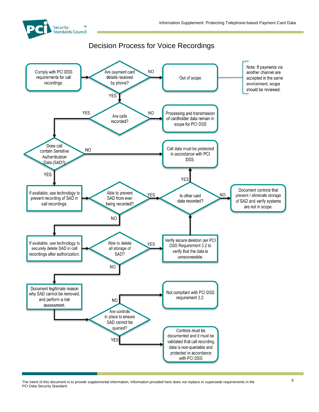

### Decision Process for Voice Recordings

<span id="page-5-0"></span>

The intent of this document is to provide supplemental information. Information provided here does not replace or supersede requirements in the PCI Data Security Standard.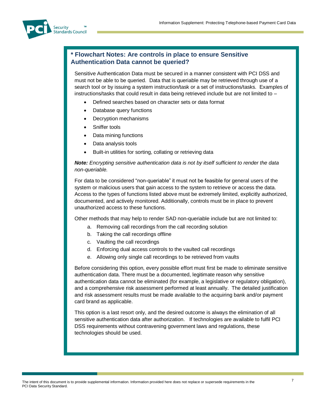

### **\* Flowchart Notes: Are controls in place to ensure Sensitive Authentication Data cannot be queried?**

Sensitive Authentication Data must be secured in a manner consistent with PCI DSS and must not be able to be queried. Data that is queriable may be retrieved through use of a search tool or by issuing a system instruction/task or a set of instructions/tasks. Examples of instructions/tasks that could result in data being retrieved include but are not limited to –

- Defined searches based on character sets or data format
- Database query functions
- Decryption mechanisms
- Sniffer tools
- Data mining functions
- Data analysis tools
- Built-in utilities for sorting, collating or retrieving data

*Note: Encrypting sensitive authentication data is not by itself sufficient to render the data non-queriable.*

For data to be considered "non-queriable" it must not be feasible for general users of the system or malicious users that gain access to the system to retrieve or access the data. Access to the types of functions listed above must be extremely limited, explicitly authorized, documented, and actively monitored. Additionally, controls must be in place to prevent unauthorized access to these functions.

Other methods that may help to render SAD non-queriable include but are not limited to:

- a. Removing call recordings from the call recording solution
- b. Taking the call recordings offline
- c. Vaulting the call recordings
- d. Enforcing dual access controls to the vaulted call recordings
- e. Allowing only single call recordings to be retrieved from vaults

Before considering this option, every possible effort must first be made to eliminate sensitive authentication data. There must be a documented, legitimate reason why sensitive authentication data cannot be eliminated (for example, a legislative or regulatory obligation), and a comprehensive risk assessment performed at least annually. The detailed justification and risk assessment results must be made available to the acquiring bank and/or payment card brand as applicable.

This option is a last resort only, and the desired outcome is always the elimination of all sensitive authentication data after authorization. If technologies are available to fulfil PCI DSS requirements without contravening government laws and regulations, these technologies should be used.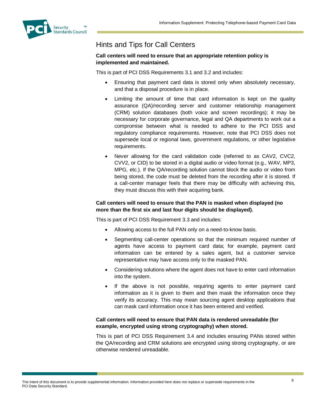<span id="page-7-0"></span>

# Hints and Tips for Call Centers

#### **Call centers will need to ensure that an appropriate retention policy is implemented and maintained.**

This is part of PCI DSS Requirements 3.1 and 3.2 and includes:

- Ensuring that payment card data is stored only when absolutely necessary, and that a disposal procedure is in place.
- Limiting the amount of time that card information is kept on the quality assurance (QA)/recording server and customer relationship management (CRM) solution databases (both voice and screen recordings); it may be necessary for corporate governance, legal and QA departments to work out a compromise between what is needed to adhere to the PCI DSS and regulatory compliance requirements. However, note that PCI DSS does not supersede local or regional laws, government regulations, or other legislative requirements.
- Never allowing for the card validation code (referred to as CAV2, CVC2, CVV2, or CID) to be stored in a digital audio or video format (e.g., WAV, MP3, MPG, etc.). If the QA/recording solution cannot block the audio or video from being stored, the code must be deleted from the recording after it is stored. If a call-center manager feels that there may be difficulty with achieving this, they must discuss this with their acquiring bank.

#### **Call centers will need to ensure that the PAN is masked when displayed (no more than the first six and last four digits should be displayed).**

This is part of PCI DSS Requirement 3.3 and includes:

- Allowing access to the full PAN only on a need-to-know basis.
- Segmenting call-center operations so that the minimum required number of agents have access to payment card data; for example, payment card information can be entered by a sales agent, but a customer service representative may have access only to the masked PAN.
- Considering solutions where the agent does not have to enter card information into the system.
- If the above is not possible, requiring agents to enter payment card information as it is given to them and then mask the information once they verify its accuracy. This may mean sourcing agent desktop applications that can mask card information once it has been entered and verified.

#### **Call centers will need to ensure that PAN data is rendered unreadable (for example, encrypted using strong cryptography) when stored.**

This is part of PCI DSS Requirement 3.4 and includes ensuring PANs stored within the QA/recording and CRM solutions are encrypted using strong cryptography, or are otherwise rendered unreadable.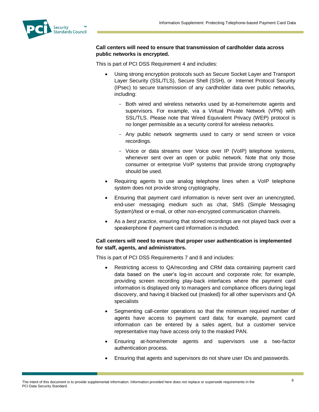

#### **Call centers will need to ensure that transmission of cardholder data across public networks is encrypted.**

This is part of PCI DSS Requirement 4 and includes:

- Using strong encryption protocols such as Secure Socket Layer and Transport Layer Security (SSL/TLS), Secure Shell (SSH), or Internet Protocol Security (IPsec) to secure transmission of any cardholder data over public networks, including:
	- Both wired and wireless networks used by at-home/remote agents and supervisors. For example, via a Virtual Private Network (VPN) with SSL/TLS. Please note that Wired Equivalent Privacy (WEP) protocol is no longer permissible as a security control for wireless networks.
	- Any public network segments used to carry or send screen or voice recordings.
	- Voice or data streams over Voice over IP (VoIP) telephone systems, whenever sent over an open or public network. Note that only those consumer or enterprise VoIP systems that provide strong cryptography should be used.
- Requiring agents to use analog telephone lines when a VoIP telephone system does not provide strong cryptography,
- Ensuring that payment card information is never sent over an unencrypted, end-user messaging medium such as chat, SMS (Simple Messaging System)/text or e-mail, or other non-encrypted communication channels.
- As a *best practice*, ensuring that stored recordings are not played back over a speakerphone if payment card information is included.

#### **Call centers will need to ensure that proper user authentication is implemented for staff, agents, and administrators.**

This is part of PCI DSS Requirements 7 and 8 and includes:

- Restricting access to QA/recording and CRM data containing payment card data based on the user's log-in account and corporate role; for example, providing screen recording play-back interfaces where the payment card information is displayed only to managers and compliance officers during legal discovery, and having it blacked out (masked) for all other supervisors and QA specialists
- Segmenting call-center operations so that the minimum required number of agents have access to payment card data; for example, payment card information can be entered by a sales agent, but a customer service representative may have access only to the masked PAN.
- Ensuring at-home/remote agents and supervisors use a two-factor authentication process.
- Ensuring that agents and supervisors do not share user IDs and passwords.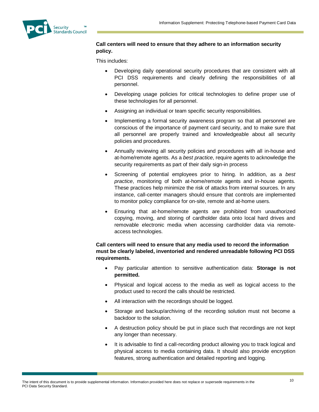

#### **Call centers will need to ensure that they adhere to an information security policy.**

This includes:

- Developing daily operational security procedures that are consistent with all PCI DSS requirements and clearly defining the responsibilities of all personnel.
- Developing usage policies for critical technologies to define proper use of these technologies for all personnel.
- Assigning an individual or team specific security responsibilities.
- Implementing a formal security awareness program so that all personnel are conscious of the importance of payment card security, and to make sure that all personnel are properly trained and knowledgeable about all security policies and procedures.
- Annually reviewing all security policies and procedures with all in-house and at-home/remote agents. As a *best practice*, require agents to acknowledge the security requirements as part of their daily sign-in process
- Screening of potential employees prior to hiring. In addition, as a *best practice*, monitoring of both at-home/remote agents and in-house agents. These practices help minimize the risk of attacks from internal sources. In any instance, call-center managers should ensure that controls are implemented to monitor policy compliance for on-site, remote and at-home users.
- Ensuring that at-home/remote agents are prohibited from unauthorized copying, moving, and storing of cardholder data onto local hard drives and removable electronic media when accessing cardholder data via remoteaccess technologies.

#### **Call centers will need to ensure that any media used to record the information must be clearly labeled, inventoried and rendered unreadable following PCI DSS requirements.**

- Pay particular attention to sensitive authentication data: **Storage is not permitted.**
- Physical and logical access to the media as well as logical access to the product used to record the calls should be restricted.
- All interaction with the recordings should be logged.
- Storage and backup/archiving of the recording solution must not become a backdoor to the solution.
- A destruction policy should be put in place such that recordings are not kept any longer than necessary.
- It is advisable to find a call-recording product allowing you to track logical and physical access to media containing data. It should also provide encryption features, strong authentication and detailed reporting and logging.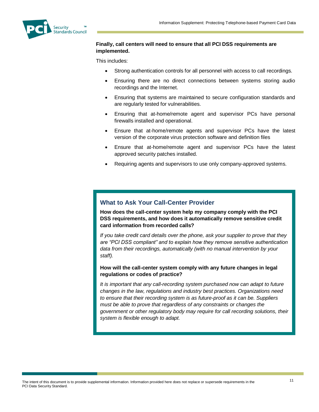

#### **Finally, call centers will need to ensure that all PCI DSS requirements are implemented.**

This includes:

- Strong authentication controls for all personnel with access to call recordings.
- Ensuring there are no direct connections between systems storing audio recordings and the Internet.
- Ensuring that systems are maintained to secure configuration standards and are regularly tested for vulnerabilities.
- Ensuring that at-home/remote agent and supervisor PCs have personal firewalls installed and operational.
- Ensure that at-home/remote agents and supervisor PCs have the latest version of the corporate virus protection software and definition files
- Ensure that at-home/remote agent and supervisor PCs have the latest approved security patches installed.
- Requiring agents and supervisors to use only company-approved systems.

### **What to Ask Your Call-Center Provider**

**How does the call-center system help my company comply with the PCI DSS requirements, and how does it automatically remove sensitive credit card information from recorded calls?**

*If you take credit card details over the phone, ask your supplier to prove that they are "PCI DSS compliant" and to explain how they remove sensitive authentication data from their recordings, automatically (with no manual intervention by your staff).*

#### **How will the call-center system comply with any future changes in legal regulations or codes of practice?**

*It is important that any call-recording system purchased now can adapt to future changes in the law, regulations and industry best practices. Organizations need to ensure that their recording system is as future-proof as it can be. Suppliers must be able to prove that regardless of any constraints or changes the government or other regulatory body may require for call recording solutions, their system is flexible enough to adapt.*